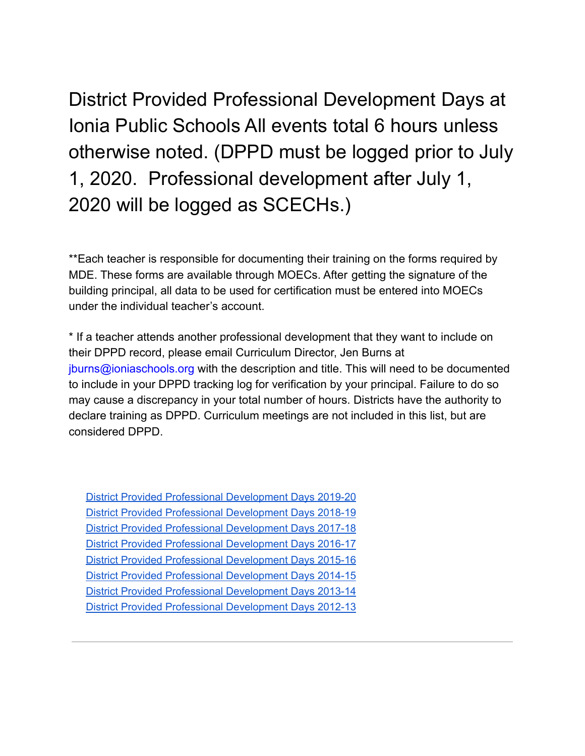District Provided Professional Development Days at Ionia Public Schools All events total 6 hours unless otherwise noted. (DPPD must be logged prior to July 1, 2020. Professional development after July 1, 2020 will be logged as SCECHs.)

\*\*Each teacher is responsible for documenting their training on the forms required by MDE. These forms are available through MOECs. After getting the signature of the building principal, all data to be used for certification must be entered into MOECs under the individual teacher's account.

\* If a teacher attends another professional development that they want to include on their DPPD record, please email Curriculum Director, Jen Burns at jburns@ioniaschools.org with the description and title. This will need to be documented to include in your DPPD tracking log for verification by your principal. Failure to do so may cause a discrepancy in your total number of hours. Districts have the authority to declare training as DPPD. Curriculum meetings are not included in this list, but are considered DPPD.

| District Provided Professional Development Days 2019-20        |
|----------------------------------------------------------------|
| <b>District Provided Professional Development Days 2018-19</b> |
| District Provided Professional Development Days 2017-18        |
| <b>District Provided Professional Development Days 2016-17</b> |
| District Provided Professional Development Days 2015-16        |
| <b>District Provided Professional Development Days 2014-15</b> |
| District Provided Professional Development Days 2013-14        |
| District Provided Professional Development Days 2012-13        |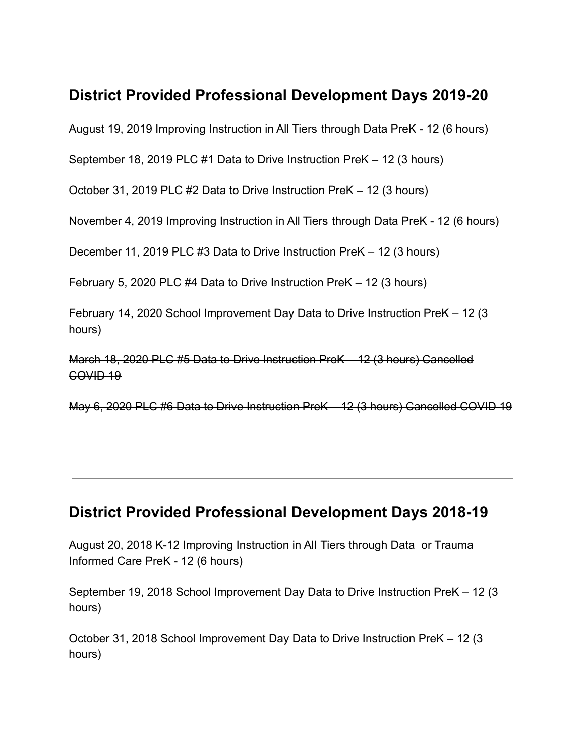# <span id="page-1-0"></span>**District Provided Professional Development Days 2019-20**

August 19, 2019 Improving Instruction in All Tiers through Data PreK - 12 (6 hours)

September 18, 2019 PLC #1 Data to Drive Instruction PreK – 12 (3 hours)

October 31, 2019 PLC #2 Data to Drive Instruction PreK – 12 (3 hours)

November 4, 2019 Improving Instruction in All Tiers through Data PreK - 12 (6 hours)

December 11, 2019 PLC #3 Data to Drive Instruction PreK – 12 (3 hours)

February 5, 2020 PLC #4 Data to Drive Instruction PreK – 12 (3 hours)

February 14, 2020 School Improvement Day Data to Drive Instruction PreK – 12 (3 hours)

March 18, 2020 PLC #5 Data to Drive Instruction PreK – 12 (3 hours) Cancelled COVID 19

May 6, 2020 PLC #6 Data to Drive Instruction PreK – 12 (3 hours) Cancelled COVID 19

# <span id="page-1-1"></span>**District Provided Professional Development Days 2018-19**

August 20, 2018 K-12 Improving Instruction in All Tiers through Data or Trauma Informed Care PreK - 12 (6 hours)

September 19, 2018 School Improvement Day Data to Drive Instruction PreK – 12 (3 hours)

October 31, 2018 School Improvement Day Data to Drive Instruction PreK – 12 (3 hours)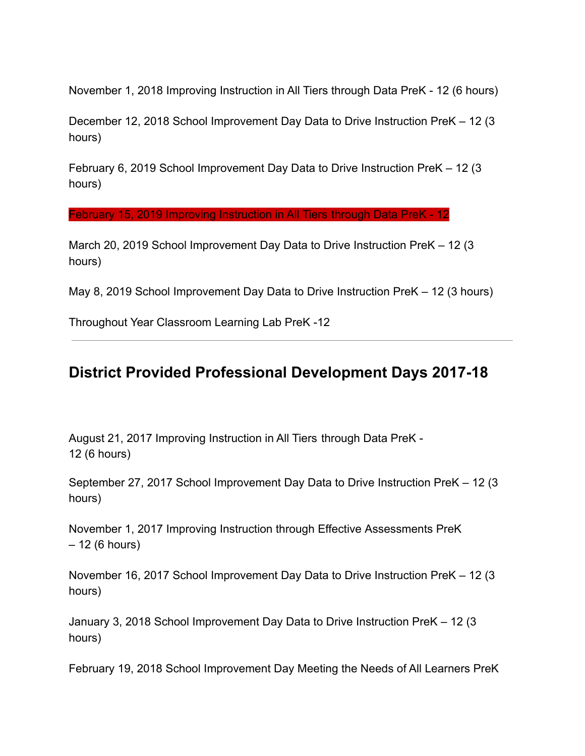November 1, 2018 Improving Instruction in All Tiers through Data PreK - 12 (6 hours)

December 12, 2018 School Improvement Day Data to Drive Instruction PreK – 12 (3 hours)

February 6, 2019 School Improvement Day Data to Drive Instruction PreK – 12 (3 hours)

February 15, 2019 Improving Instruction in All Tiers through Data PreK - 12

March 20, 2019 School Improvement Day Data to Drive Instruction PreK – 12 (3 hours)

May 8, 2019 School Improvement Day Data to Drive Instruction PreK – 12 (3 hours)

Throughout Year Classroom Learning Lab PreK -12

# <span id="page-2-0"></span>**District Provided Professional Development Days 2017-18**

August 21, 2017 Improving Instruction in All Tiers through Data PreK - 12 (6 hours)

September 27, 2017 School Improvement Day Data to Drive Instruction PreK – 12 (3 hours)

November 1, 2017 Improving Instruction through Effective Assessments PreK – 12 (6 hours)

November 16, 2017 School Improvement Day Data to Drive Instruction PreK – 12 (3 hours)

January 3, 2018 School Improvement Day Data to Drive Instruction PreK – 12 (3 hours)

February 19, 2018 School Improvement Day Meeting the Needs of All Learners PreK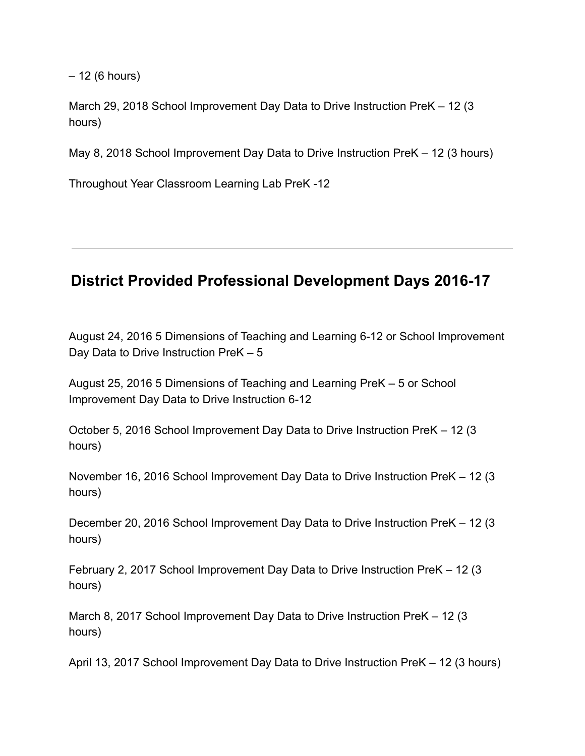– 12 (6 hours)

March 29, 2018 School Improvement Day Data to Drive Instruction PreK – 12 (3 hours)

May 8, 2018 School Improvement Day Data to Drive Instruction PreK – 12 (3 hours)

Throughout Year Classroom Learning Lab PreK -12

# <span id="page-3-0"></span>**District Provided Professional Development Days 2016-17**

August 24, 2016 5 Dimensions of Teaching and Learning 6-12 or School Improvement Day Data to Drive Instruction PreK – 5

August 25, 2016 5 Dimensions of Teaching and Learning PreK – 5 or School Improvement Day Data to Drive Instruction 6-12

October 5, 2016 School Improvement Day Data to Drive Instruction PreK – 12 (3 hours)

November 16, 2016 School Improvement Day Data to Drive Instruction PreK – 12 (3 hours)

December 20, 2016 School Improvement Day Data to Drive Instruction PreK – 12 (3 hours)

February 2, 2017 School Improvement Day Data to Drive Instruction PreK – 12 (3 hours)

March 8, 2017 School Improvement Day Data to Drive Instruction PreK – 12 (3 hours)

April 13, 2017 School Improvement Day Data to Drive Instruction PreK – 12 (3 hours)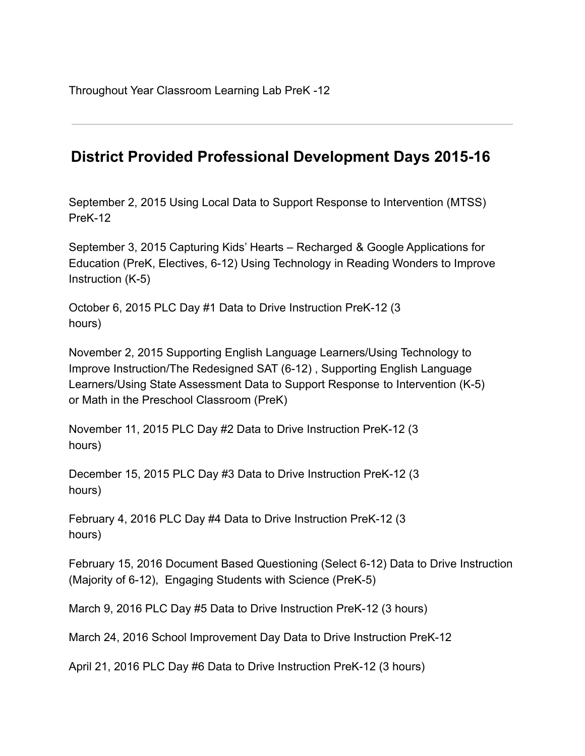# <span id="page-4-0"></span>**District Provided Professional Development Days 2015-16**

September 2, 2015 Using Local Data to Support Response to Intervention (MTSS) PreK-12

September 3, 2015 Capturing Kids' Hearts – Recharged & Google Applications for Education (PreK, Electives, 6-12) Using Technology in Reading Wonders to Improve Instruction (K-5)

October 6, 2015 PLC Day #1 Data to Drive Instruction PreK-12 (3 hours)

November 2, 2015 Supporting English Language Learners/Using Technology to Improve Instruction/The Redesigned SAT (6-12) , Supporting English Language Learners/Using State Assessment Data to Support Response to Intervention (K-5) or Math in the Preschool Classroom (PreK)

November 11, 2015 PLC Day #2 Data to Drive Instruction PreK-12 (3 hours)

December 15, 2015 PLC Day #3 Data to Drive Instruction PreK-12 (3 hours)

February 4, 2016 PLC Day #4 Data to Drive Instruction PreK-12 (3 hours)

February 15, 2016 Document Based Questioning (Select 6-12) Data to Drive Instruction (Majority of 6-12), Engaging Students with Science (PreK-5)

March 9, 2016 PLC Day #5 Data to Drive Instruction PreK-12 (3 hours)

March 24, 2016 School Improvement Day Data to Drive Instruction PreK-12

April 21, 2016 PLC Day #6 Data to Drive Instruction PreK-12 (3 hours)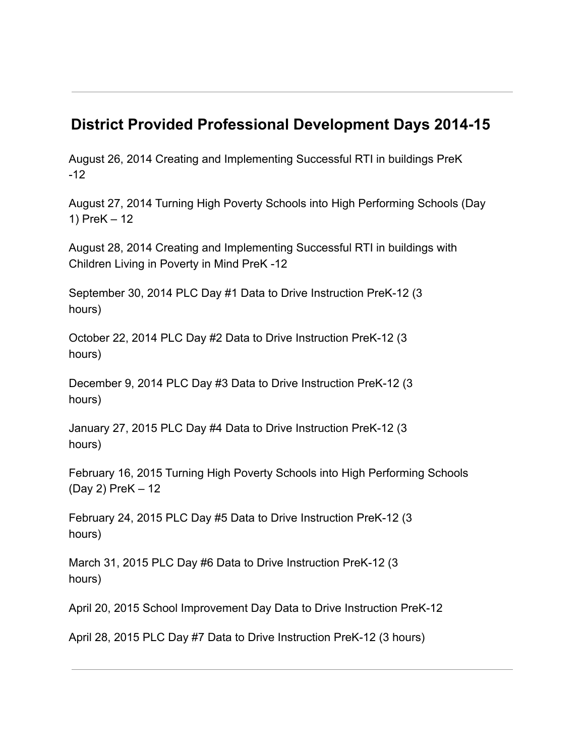# <span id="page-5-0"></span>**District Provided Professional Development Days 2014-15**

August 26, 2014 Creating and Implementing Successful RTI in buildings PreK -12

August 27, 2014 Turning High Poverty Schools into High Performing Schools (Day 1) PreK – 12

August 28, 2014 Creating and Implementing Successful RTI in buildings with Children Living in Poverty in Mind PreK -12

September 30, 2014 PLC Day #1 Data to Drive Instruction PreK-12 (3 hours)

October 22, 2014 PLC Day #2 Data to Drive Instruction PreK-12 (3 hours)

December 9, 2014 PLC Day #3 Data to Drive Instruction PreK-12 (3 hours)

January 27, 2015 PLC Day #4 Data to Drive Instruction PreK-12 (3 hours)

February 16, 2015 Turning High Poverty Schools into High Performing Schools (Day 2) PreK – 12

February 24, 2015 PLC Day #5 Data to Drive Instruction PreK-12 (3 hours)

March 31, 2015 PLC Day #6 Data to Drive Instruction PreK-12 (3 hours)

April 20, 2015 School Improvement Day Data to Drive Instruction PreK-12

April 28, 2015 PLC Day #7 Data to Drive Instruction PreK-12 (3 hours)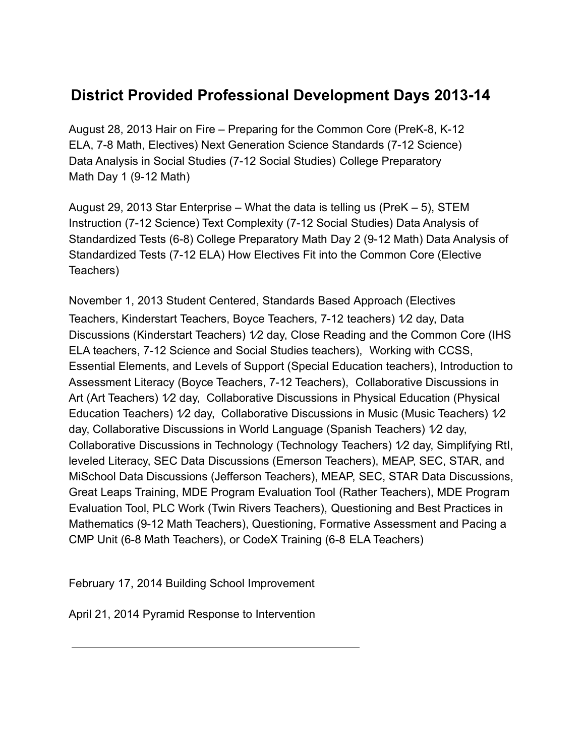# <span id="page-6-0"></span>**District Provided Professional Development Days 2013-14**

August 28, 2013 Hair on Fire – Preparing for the Common Core (PreK-8, K-12 ELA, 7-8 Math, Electives) Next Generation Science Standards (7-12 Science) Data Analysis in Social Studies (7-12 Social Studies) College Preparatory Math Day 1 (9-12 Math)

August 29, 2013 Star Enterprise – What the data is telling us (PreK – 5), STEM Instruction (7-12 Science) Text Complexity (7-12 Social Studies) Data Analysis of Standardized Tests (6-8) College Preparatory Math Day 2 (9-12 Math) Data Analysis of Standardized Tests (7-12 ELA) How Electives Fit into the Common Core (Elective Teachers)

November 1, 2013 Student Centered, Standards Based Approach (Electives Teachers, Kinderstart Teachers, Boyce Teachers, 7-12 teachers) 1⁄2 day, Data Discussions (Kinderstart Teachers) 1⁄2 day, Close Reading and the Common Core (IHS ELA teachers, 7-12 Science and Social Studies teachers), Working with CCSS, Essential Elements, and Levels of Support (Special Education teachers), Introduction to Assessment Literacy (Boyce Teachers, 7-12 Teachers), Collaborative Discussions in Art (Art Teachers) 1/2 day, Collaborative Discussions in Physical Education (Physical Education Teachers) 1⁄2 day, Collaborative Discussions in Music (Music Teachers) 1⁄2 day, Collaborative Discussions in World Language (Spanish Teachers) 1⁄2 day, Collaborative Discussions in Technology (Technology Teachers) 1⁄2 day, Simplifying RtI, leveled Literacy, SEC Data Discussions (Emerson Teachers), MEAP, SEC, STAR, and MiSchool Data Discussions (Jefferson Teachers), MEAP, SEC, STAR Data Discussions, Great Leaps Training, MDE Program Evaluation Tool (Rather Teachers), MDE Program Evaluation Tool, PLC Work (Twin Rivers Teachers), Questioning and Best Practices in Mathematics (9-12 Math Teachers), Questioning, Formative Assessment and Pacing a CMP Unit (6-8 Math Teachers), or CodeX Training (6-8 ELA Teachers)

February 17, 2014 Building School Improvement

April 21, 2014 Pyramid Response to Intervention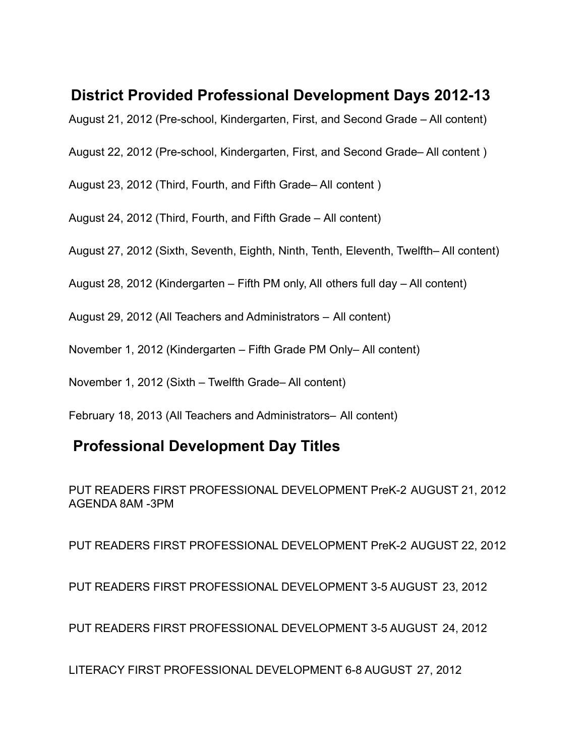# <span id="page-7-0"></span>**District Provided Professional Development Days 2012-13**

August 21, 2012 (Pre-school, Kindergarten, First, and Second Grade – All content)

August 22, 2012 (Pre-school, Kindergarten, First, and Second Grade– All content )

August 23, 2012 (Third, Fourth, and Fifth Grade– All content )

August 24, 2012 (Third, Fourth, and Fifth Grade – All content)

August 27, 2012 (Sixth, Seventh, Eighth, Ninth, Tenth, Eleventh, Twelfth– All content)

August 28, 2012 (Kindergarten – Fifth PM only, All others full day – All content)

August 29, 2012 (All Teachers and Administrators – All content)

November 1, 2012 (Kindergarten – Fifth Grade PM Only– All content)

November 1, 2012 (Sixth – Twelfth Grade– All content)

February 18, 2013 (All Teachers and Administrators– All content)

# **Professional Development Day Titles**

PUT READERS FIRST PROFESSIONAL DEVELOPMENT PreK-2 AUGUST 21, 2012 AGENDA 8AM -3PM

PUT READERS FIRST PROFESSIONAL DEVELOPMENT PreK-2 AUGUST 22, 2012

PUT READERS FIRST PROFESSIONAL DEVELOPMENT 3-5 AUGUST 23, 2012

PUT READERS FIRST PROFESSIONAL DEVELOPMENT 3-5 AUGUST 24, 2012

LITERACY FIRST PROFESSIONAL DEVELOPMENT 6-8 AUGUST 27, 2012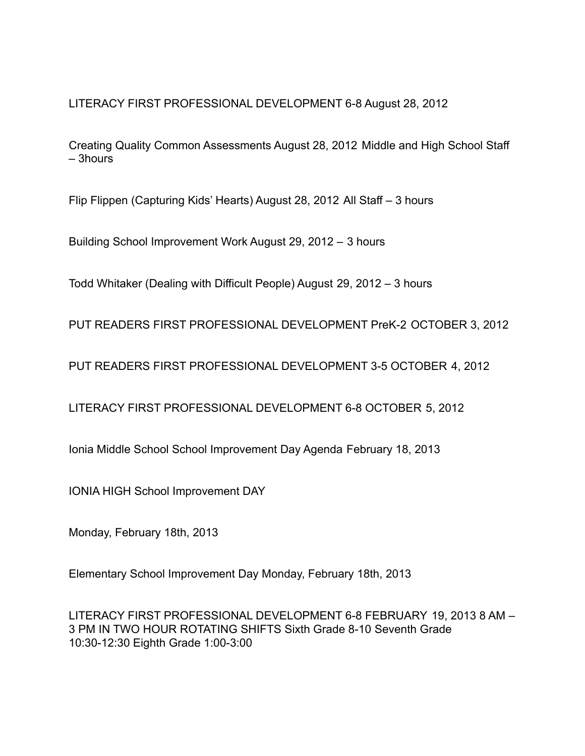LITERACY FIRST PROFESSIONAL DEVELOPMENT 6-8 August 28, 2012

Creating Quality Common Assessments August 28, 2012 Middle and High School Staff – 3hours

Flip Flippen (Capturing Kids' Hearts) August 28, 2012 All Staff – 3 hours

Building School Improvement Work August 29, 2012 – 3 hours

Todd Whitaker (Dealing with Difficult People) August 29, 2012 – 3 hours

PUT READERS FIRST PROFESSIONAL DEVELOPMENT PreK-2 OCTOBER 3, 2012

PUT READERS FIRST PROFESSIONAL DEVELOPMENT 3-5 OCTOBER 4, 2012

LITERACY FIRST PROFESSIONAL DEVELOPMENT 6-8 OCTOBER 5, 2012

Ionia Middle School School Improvement Day Agenda February 18, 2013

IONIA HIGH School Improvement DAY

Monday, February 18th, 2013

Elementary School Improvement Day Monday, February 18th, 2013

LITERACY FIRST PROFESSIONAL DEVELOPMENT 6-8 FEBRUARY 19, 2013 8 AM – 3 PM IN TWO HOUR ROTATING SHIFTS Sixth Grade 8-10 Seventh Grade 10:30-12:30 Eighth Grade 1:00-3:00